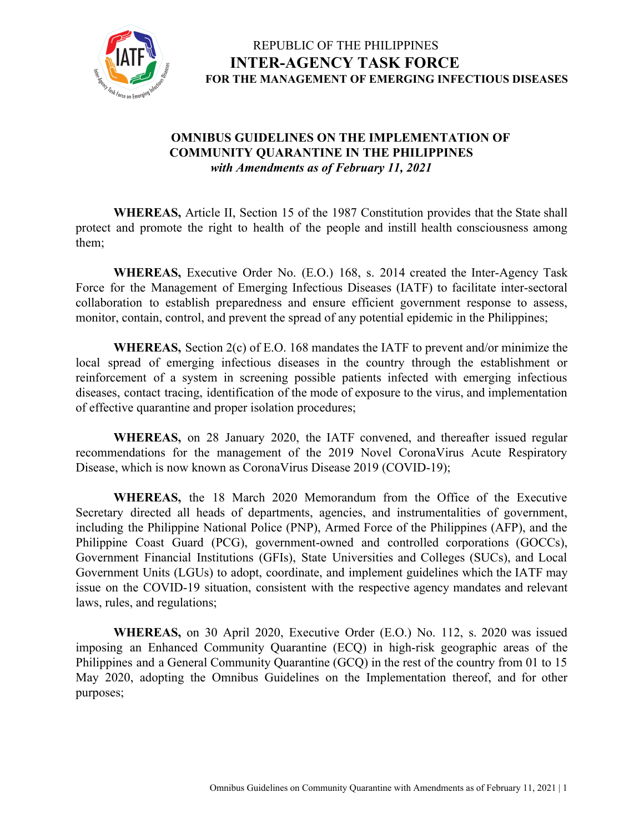

#### **OMNIBUS GUIDELINES ON THE IMPLEMENTATION OF COMMUNITY QUARANTINE IN THE PHILIPPINES** *with Amendments as of February 11, 2021*

**WHEREAS,** Article II, Section 15 of the 1987 Constitution provides that the State shall protect and promote the right to health of the people and instill health consciousness among them;

**WHEREAS,** Executive Order No. (E.O.) 168, s. 2014 created the Inter-Agency Task Force for the Management of Emerging Infectious Diseases (IATF) to facilitate inter-sectoral collaboration to establish preparedness and ensure efficient government response to assess, monitor, contain, control, and prevent the spread of any potential epidemic in the Philippines;

**WHEREAS,** Section 2(c) of E.O. 168 mandates the IATF to prevent and/or minimize the local spread of emerging infectious diseases in the country through the establishment or reinforcement of a system in screening possible patients infected with emerging infectious diseases, contact tracing, identification of the mode of exposure to the virus, and implementation of effective quarantine and proper isolation procedures;

**WHEREAS,** on 28 January 2020, the IATF convened, and thereafter issued regular recommendations for the management of the 2019 Novel CoronaVirus Acute Respiratory Disease, which is now known as CoronaVirus Disease 2019 (COVID-19);

**WHEREAS,** the 18 March 2020 Memorandum from the Office of the Executive Secretary directed all heads of departments, agencies, and instrumentalities of government, including the Philippine National Police (PNP), Armed Force of the Philippines (AFP), and the Philippine Coast Guard (PCG), government-owned and controlled corporations (GOCCs), Government Financial Institutions (GFIs), State Universities and Colleges (SUCs), and Local Government Units (LGUs) to adopt, coordinate, and implement guidelines which the IATF may issue on the COVID-19 situation, consistent with the respective agency mandates and relevant laws, rules, and regulations;

**WHEREAS,** on 30 April 2020, Executive Order (E.O.) No. 112, s. 2020 was issued imposing an Enhanced Community Quarantine (ECQ) in high-risk geographic areas of the Philippines and a General Community Quarantine (GCQ) in the rest of the country from 01 to 15 May 2020, adopting the Omnibus Guidelines on the Implementation thereof, and for other purposes;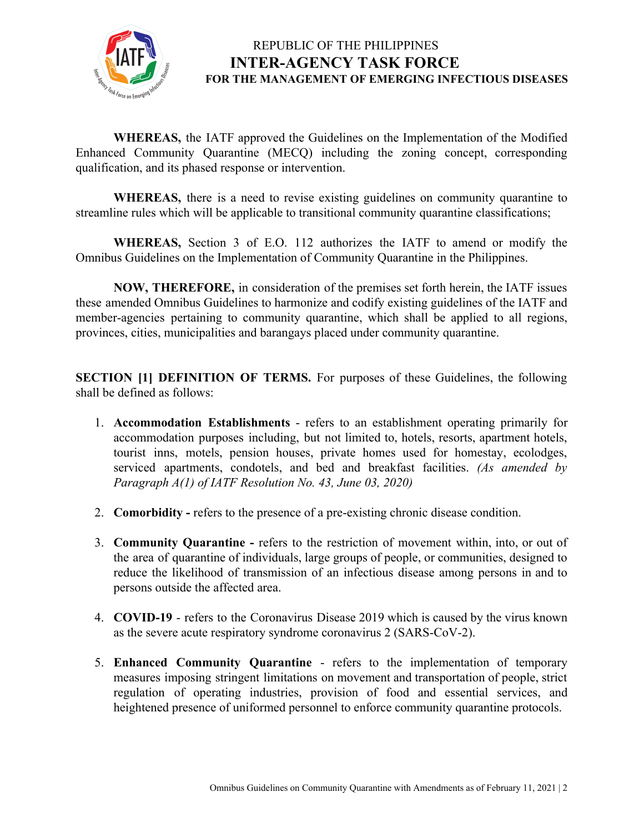

**WHEREAS,** the IATF approved the Guidelines on the Implementation of the Modified Enhanced Community Quarantine (MECQ) including the zoning concept, corresponding qualification, and its phased response or intervention.

**WHEREAS,** there is a need to revise existing guidelines on community quarantine to streamline rules which will be applicable to transitional community quarantine classifications;

**WHEREAS,** Section 3 of E.O. 112 authorizes the IATF to amend or modify the Omnibus Guidelines on the Implementation of Community Quarantine in the Philippines.

**NOW, THEREFORE,** in consideration of the premises set forth herein, the IATF issues these amended Omnibus Guidelines to harmonize and codify existing guidelines of the IATF and member-agencies pertaining to community quarantine, which shall be applied to all regions, provinces, cities, municipalities and barangays placed under community quarantine.

**SECTION [1] DEFINITION OF TERMS.** For purposes of these Guidelines, the following shall be defined as follows:

- 1. **Accommodation Establishments** refers to an establishment operating primarily for accommodation purposes including, but not limited to, hotels, resorts, apartment hotels, tourist inns, motels, pension houses, private homes used for homestay, ecolodges, serviced apartments, condotels, and bed and breakfast facilities. *(As amended by Paragraph A(1) of IATF Resolution No. 43, June 03, 2020)*
- 2. **Comorbidity** refers to the presence of a pre-existing chronic disease condition.
- 3. **Community Quarantine -** refers to the restriction of movement within, into, or out of the area of quarantine of individuals, large groups of people, or communities, designed to reduce the likelihood of transmission of an infectious disease among persons in and to persons outside the affected area.
- 4. **COVID-19** refers to the Coronavirus Disease 2019 which is caused by the virus known as the severe acute respiratory syndrome coronavirus 2 (SARS-CoV-2).
- 5. **Enhanced Community Quarantine** refers to the implementation of temporary measures imposing stringent limitations on movement and transportation of people, strict regulation of operating industries, provision of food and essential services, and heightened presence of uniformed personnel to enforce community quarantine protocols.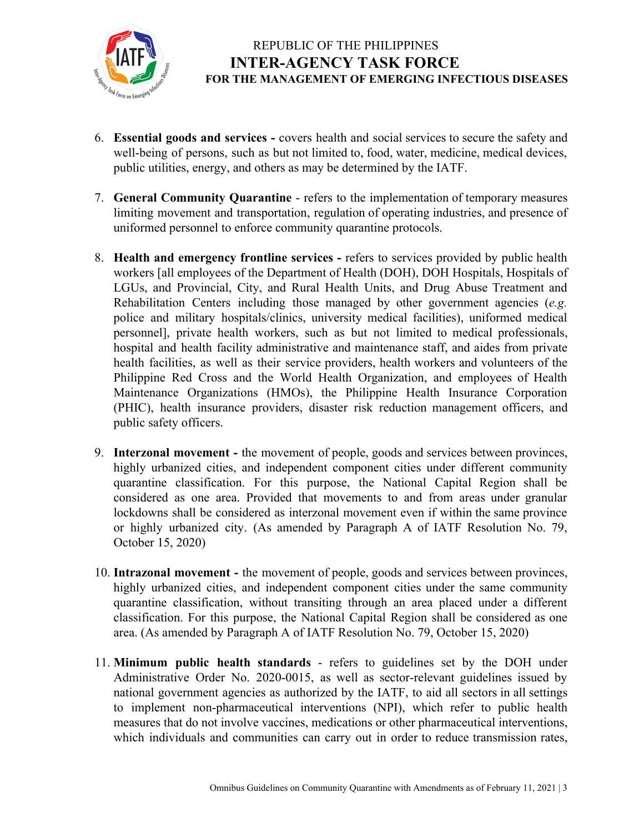

- 6. **Essential goods and services -** covers health and social services to secure the safety and well-being of persons, such as but not limited to, food, water, medicine, medical devices, public utilities, energy, and others as may be determined by the IATF.
- 7. **General Community Quarantine** refers to the implementation of temporary measures limiting movement and transportation, regulation of operating industries, and presence of uniformed personnel to enforce community quarantine protocols.
- 8. **Health and emergency frontline services -** refers to services provided by public health workers [all employees of the Department of Health (DOH), DOH Hospitals, Hospitals of LGUs, and Provincial, City, and Rural Health Units, and Drug Abuse Treatment and Rehabilitation Centers including those managed by other government agencies (*e.g.* police and military hospitals/clinics, university medical facilities), uniformed medical personnel], private health workers, such as but not limited to medical professionals, hospital and health facility administrative and maintenance staff, and aides from private health facilities, as well as their service providers, health workers and volunteers of the Philippine Red Cross and the World Health Organization, and employees of Health Maintenance Organizations (HMOs), the Philippine Health Insurance Corporation (PHIC), health insurance providers, disaster risk reduction management officers, and public safety officers.
- 9. **Interzonal movement -** the movement of people, goods and services between provinces, highly urbanized cities, and independent component cities under different community quarantine classification. For this purpose, the National Capital Region shall be considered as one area. Provided that movements to and from areas under granular lockdowns shall be considered as interzonal movement even if within the same province or highly urbanized city. (As amended by Paragraph A of IATF Resolution No. 79, October 15, 2020)
- 10. **Intrazonal movement -** the movement of people, goods and services between provinces, highly urbanized cities, and independent component cities under the same community quarantine classification, without transiting through an area placed under a different classification. For this purpose, the National Capital Region shall be considered as one area. (As amended by Paragraph A of IATF Resolution No. 79, October 15, 2020)
- 11. **Minimum public health standards** refers to guidelines set by the DOH under Administrative Order No. 2020-0015, as well as sector-relevant guidelines issued by national government agencies as authorized by the IATF, to aid all sectors in all settings to implement non-pharmaceutical interventions (NPI), which refer to public health measures that do not involve vaccines, medications or other pharmaceutical interventions, which individuals and communities can carry out in order to reduce transmission rates,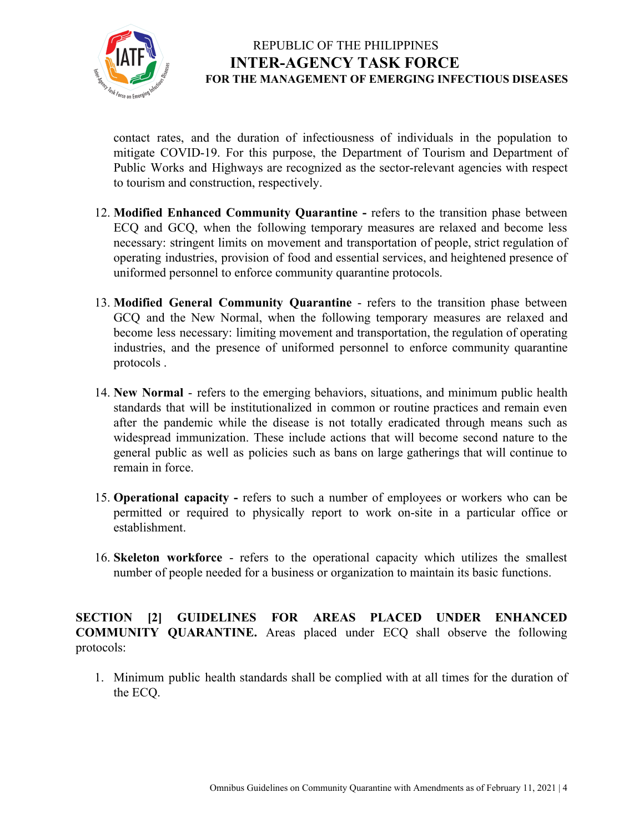

contact rates, and the duration of infectiousness of individuals in the population to mitigate COVID-19. For this purpose, the Department of Tourism and Department of Public Works and Highways are recognized as the sector-relevant agencies with respect to tourism and construction, respectively.

- 12. **Modified Enhanced Community Quarantine -** refers to the transition phase between ECQ and GCQ, when the following temporary measures are relaxed and become less necessary: stringent limits on movement and transportation of people, strict regulation of operating industries, provision of food and essential services, and heightened presence of uniformed personnel to enforce community quarantine protocols.
- 13. **Modified General Community Quarantine** refers to the transition phase between GCQ and the New Normal, when the following temporary measures are relaxed and become less necessary: limiting movement and transportation, the regulation of operating industries, and the presence of uniformed personnel to enforce community quarantine protocols .
- 14. **New Normal** refers to the emerging behaviors, situations, and minimum public health standards that will be institutionalized in common or routine practices and remain even after the pandemic while the disease is not totally eradicated through means such as widespread immunization. These include actions that will become second nature to the general public as well as policies such as bans on large gatherings that will continue to remain in force.
- 15. **Operational capacity -** refers to such a number of employees or workers who can be permitted or required to physically report to work on-site in a particular office or establishment.
- 16. **Skeleton workforce** refers to the operational capacity which utilizes the [smallest](https://dictionary.cambridge.org/us/dictionary/english/small) [number](https://dictionary.cambridge.org/us/dictionary/english/number) of [people](https://dictionary.cambridge.org/us/dictionary/english/people) [needed](https://dictionary.cambridge.org/us/dictionary/english/needed) for a [business](https://dictionary.cambridge.org/us/dictionary/english/business) or [organization](https://dictionary.cambridge.org/us/dictionary/english/organization) to maintain its basic functions.

**SECTION [2] GUIDELINES FOR AREAS PLACED UNDER ENHANCED COMMUNITY QUARANTINE.** Areas placed under ECQ shall observe the following protocols:

1. Minimum public health standards shall be complied with at all times for the duration of the ECQ.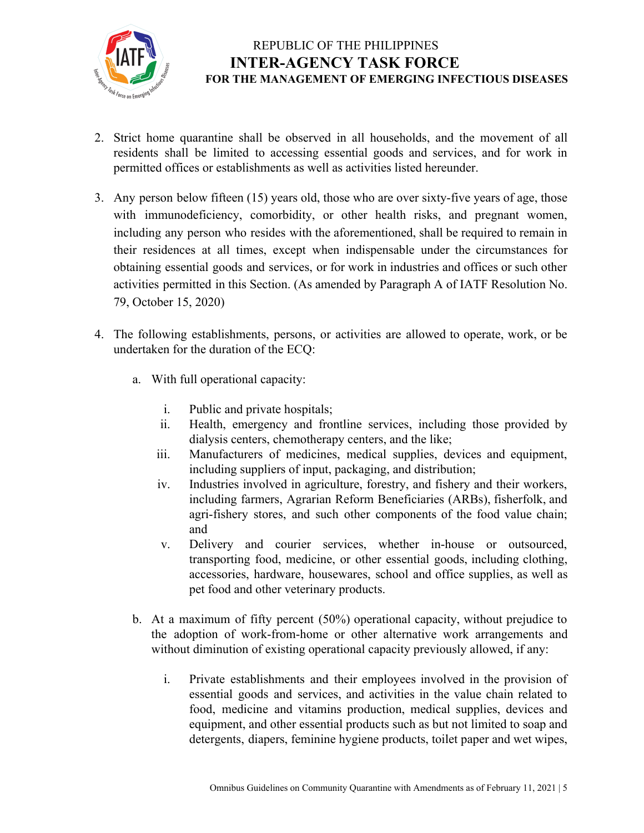

- 2. Strict home quarantine shall be observed in all households, and the movement of all residents shall be limited to accessing essential goods and services, and for work in permitted offices or establishments as well as activities listed hereunder.
- 3. Any person below fifteen (15) years old, those who are over sixty-five years of age, those with immunodeficiency, comorbidity, or other health risks, and pregnant women, including any person who resides with the aforementioned, shall be required to remain in their residences at all times, except when indispensable under the circumstances for obtaining essential goods and services, or for work in industries and offices or such other activities permitted in this Section. (As amended by Paragraph A of IATF Resolution No. 79, October 15, 2020)
- 4. The following establishments, persons, or activities are allowed to operate, work, or be undertaken for the duration of the ECQ:
	- a. With full operational capacity:
		- i. Public and private hospitals;
		- ii. Health, emergency and frontline services, including those provided by dialysis centers, chemotherapy centers, and the like;
		- iii. Manufacturers of medicines, medical supplies, devices and equipment, including suppliers of input, packaging, and distribution;
		- iv. Industries involved in agriculture, forestry, and fishery and their workers, including farmers, Agrarian Reform Beneficiaries (ARBs), fisherfolk, and agri-fishery stores, and such other components of the food value chain; and
		- v. Delivery and courier services, whether in-house or outsourced, transporting food, medicine, or other essential goods, including clothing, accessories, hardware, housewares, school and office supplies, as well as pet food and other veterinary products.
	- b. At a maximum of fifty percent (50%) operational capacity, without prejudice to the adoption of work-from-home or other alternative work arrangements and without diminution of existing operational capacity previously allowed, if any:
		- i. Private establishments and their employees involved in the provision of essential goods and services, and activities in the value chain related to food, medicine and vitamins production, medical supplies, devices and equipment, and other essential products such as but not limited to soap and detergents, diapers, feminine hygiene products, toilet paper and wet wipes,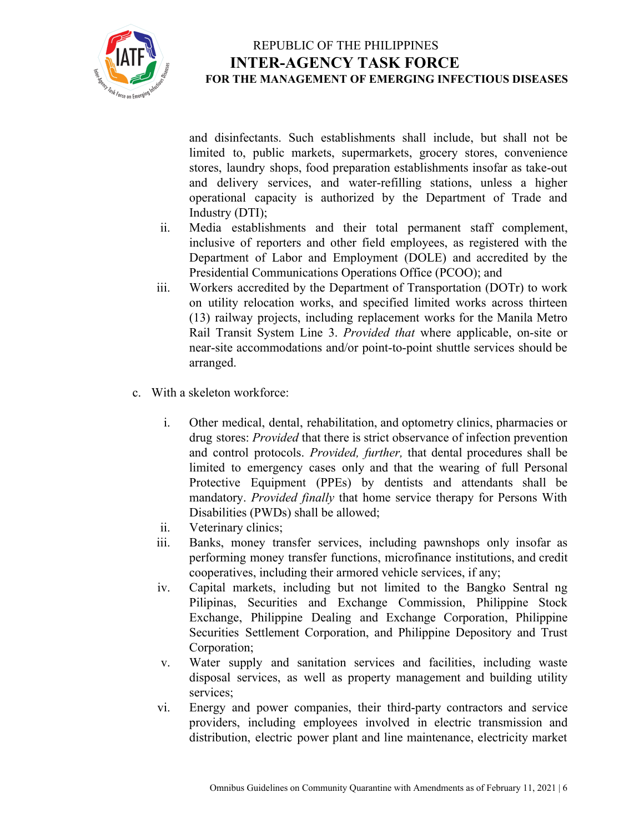

and disinfectants. Such establishments shall include, but shall not be limited to, public markets, supermarkets, grocery stores, convenience stores, laundry shops, food preparation establishments insofar as take-out and delivery services, and water-refilling stations, unless a higher operational capacity is authorized by the Department of Trade and Industry (DTI);

- ii. Media establishments and their total permanent staff complement, inclusive of reporters and other field employees, as registered with the Department of Labor and Employment (DOLE) and accredited by the Presidential Communications Operations Office (PCOO); and
- iii. Workers accredited by the Department of Transportation (DOTr) to work on utility relocation works, and specified limited works across thirteen (13) railway projects, including replacement works for the Manila Metro Rail Transit System Line 3. *Provided that* where applicable, on-site or near-site accommodations and/or point-to-point shuttle services should be arranged.
- c. With a skeleton workforce:
	- i. Other medical, dental, rehabilitation, and optometry clinics, pharmacies or drug stores: *Provided* that there is strict observance of infection prevention and control protocols. *Provided, further,* that dental procedures shall be limited to emergency cases only and that the wearing of full Personal Protective Equipment (PPEs) by dentists and attendants shall be mandatory. *Provided finally* that home service therapy for Persons With Disabilities (PWDs) shall be allowed;
	- ii. Veterinary clinics;
	- iii. Banks, money transfer services, including pawnshops only insofar as performing money transfer functions, microfinance institutions, and credit cooperatives, including their armored vehicle services, if any;
	- iv. Capital markets, including but not limited to the Bangko Sentral ng Pilipinas, Securities and Exchange Commission, Philippine Stock Exchange, Philippine Dealing and Exchange Corporation, Philippine Securities Settlement Corporation, and Philippine Depository and Trust Corporation;
	- v. Water supply and sanitation services and facilities, including waste disposal services, as well as property management and building utility services;
	- vi. Energy and power companies, their third-party contractors and service providers, including employees involved in electric transmission and distribution, electric power plant and line maintenance, electricity market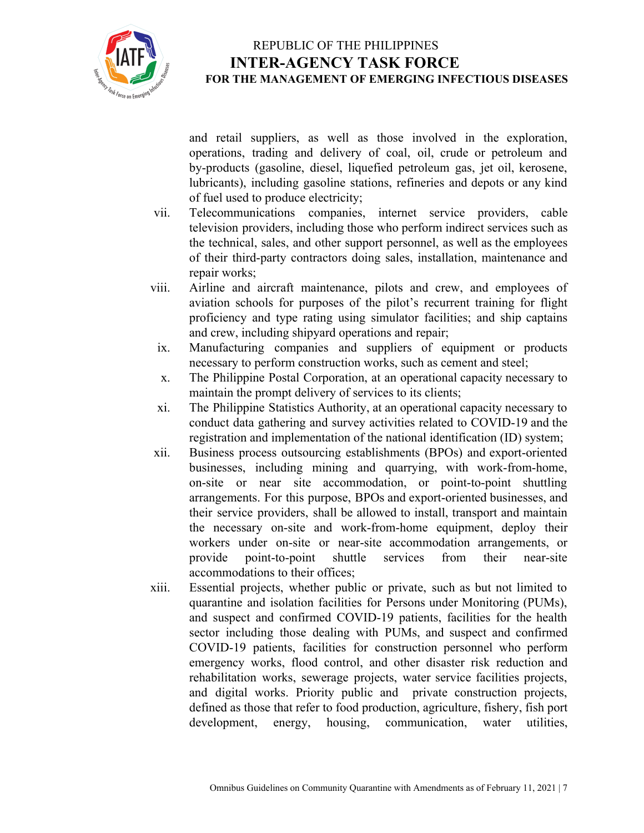

and retail suppliers, as well as those involved in the exploration, operations, trading and delivery of coal, oil, crude or petroleum and by-products (gasoline, diesel, liquefied petroleum gas, jet oil, kerosene, lubricants), including gasoline stations, refineries and depots or any kind of fuel used to produce electricity;

- vii. Telecommunications companies, internet service providers, cable television providers, including those who perform indirect services such as the technical, sales, and other support personnel, as well as the employees of their third-party contractors doing sales, installation, maintenance and repair works;
- viii. Airline and aircraft maintenance, pilots and crew, and employees of aviation schools for purposes of the pilot's recurrent training for flight proficiency and type rating using simulator facilities; and ship captains and crew, including shipyard operations and repair;
- ix. Manufacturing companies and suppliers of equipment or products necessary to perform construction works, such as cement and steel;
- x. The Philippine Postal Corporation, at an operational capacity necessary to maintain the prompt delivery of services to its clients;
- xi. The Philippine Statistics Authority, at an operational capacity necessary to conduct data gathering and survey activities related to COVID-19 and the registration and implementation of the national identification (ID) system;
- xii. Business process outsourcing establishments (BPOs) and export-oriented businesses, including mining and quarrying, with work-from-home, on-site or near site accommodation, or point-to-point shuttling arrangements. For this purpose, BPOs and export-oriented businesses, and their service providers, shall be allowed to install, transport and maintain the necessary on-site and work-from-home equipment, deploy their workers under on-site or near-site accommodation arrangements, or provide point-to-point shuttle services from their near-site accommodations to their offices;
- xiii. Essential projects, whether public or private, such as but not limited to quarantine and isolation facilities for Persons under Monitoring (PUMs), and suspect and confirmed COVID-19 patients, facilities for the health sector including those dealing with PUMs, and suspect and confirmed COVID-19 patients, facilities for construction personnel who perform emergency works, flood control, and other disaster risk reduction and rehabilitation works, sewerage projects, water service facilities projects, and digital works. Priority public and private construction projects, defined as those that refer to food production, agriculture, fishery, fish port development, energy, housing, communication, water utilities,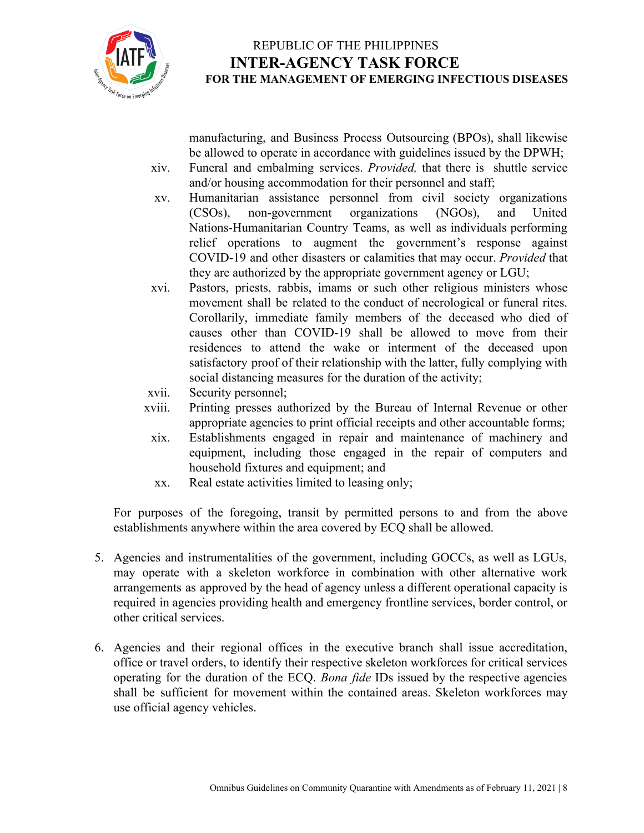

manufacturing, and Business Process Outsourcing (BPOs), shall likewise be allowed to operate in accordance with guidelines issued by the DPWH;

- xiv. Funeral and embalming services. *Provided,* that there is shuttle service and/or housing accommodation for their personnel and staff;
- xv. Humanitarian assistance personnel from civil society organizations (CSOs), non-government organizations (NGOs), and United Nations-Humanitarian Country Teams, as well as individuals performing relief operations to augment the government's response against COVID-19 and other disasters or calamities that may occur. *Provided* that they are authorized by the appropriate government agency or LGU;
- xvi. Pastors, priests, rabbis, imams or such other religious ministers whose movement shall be related to the conduct of necrological or funeral rites. Corollarily, immediate family members of the deceased who died of causes other than COVID-19 shall be allowed to move from their residences to attend the wake or interment of the deceased upon satisfactory proof of their relationship with the latter, fully complying with social distancing measures for the duration of the activity;
- xvii. Security personnel;
- xviii. Printing presses authorized by the Bureau of Internal Revenue or other appropriate agencies to print official receipts and other accountable forms;
- xix. Establishments engaged in repair and maintenance of machinery and equipment, including those engaged in the repair of computers and household fixtures and equipment; and
- xx. Real estate activities limited to leasing only;

For purposes of the foregoing, transit by permitted persons to and from the above establishments anywhere within the area covered by ECQ shall be allowed.

- 5. Agencies and instrumentalities of the government, including GOCCs, as well as LGUs, may operate with a skeleton workforce in combination with other alternative work arrangements as approved by the head of agency unless a different operational capacity is required in agencies providing health and emergency frontline services, border control, or other critical services.
- 6. Agencies and their regional offices in the executive branch shall issue accreditation, office or travel orders, to identify their respective skeleton workforces for critical services operating for the duration of the ECQ. *Bona fide* IDs issued by the respective agencies shall be sufficient for movement within the contained areas. Skeleton workforces may use official agency vehicles.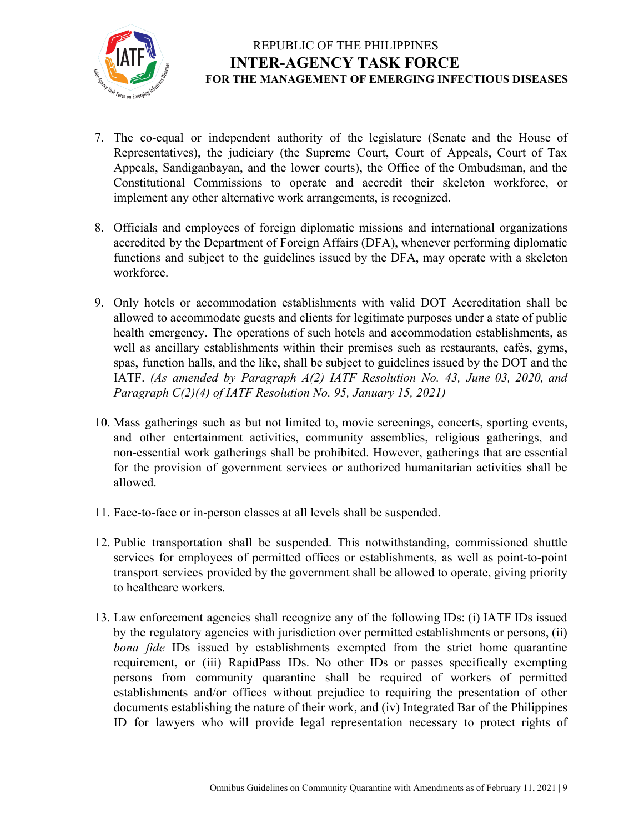

- 7. The co-equal or independent authority of the legislature (Senate and the House of Representatives), the judiciary (the Supreme Court, Court of Appeals, Court of Tax Appeals, Sandiganbayan, and the lower courts), the Office of the Ombudsman, and the Constitutional Commissions to operate and accredit their skeleton workforce, or implement any other alternative work arrangements, is recognized.
- 8. Officials and employees of foreign diplomatic missions and international organizations accredited by the Department of Foreign Affairs (DFA), whenever performing diplomatic functions and subject to the guidelines issued by the DFA, may operate with a skeleton workforce.
- 9. Only hotels or accommodation establishments with valid DOT Accreditation shall be allowed to accommodate guests and clients for legitimate purposes under a state of public health emergency. The operations of such hotels and accommodation establishments, as well as ancillary establishments within their premises such as restaurants, cafés, gyms, spas, function halls, and the like, shall be subject to guidelines issued by the DOT and the IATF. *(As amended by Paragraph A(2) IATF Resolution No. 43, June 03, 2020, and Paragraph C(2)(4) of IATF Resolution No. 95, January 15, 2021)*
- 10. Mass gatherings such as but not limited to, movie screenings, concerts, sporting events, and other entertainment activities, community assemblies, religious gatherings, and non-essential work gatherings shall be prohibited. However, gatherings that are essential for the provision of government services or authorized humanitarian activities shall be allowed.
- 11. Face-to-face or in-person classes at all levels shall be suspended.
- 12. Public transportation shall be suspended. This notwithstanding, commissioned shuttle services for employees of permitted offices or establishments, as well as point-to-point transport services provided by the government shall be allowed to operate, giving priority to healthcare workers.
- 13. Law enforcement agencies shall recognize any of the following IDs: (i) IATF IDs issued by the regulatory agencies with jurisdiction over permitted establishments or persons, (ii) *bona fide* IDs issued by establishments exempted from the strict home quarantine requirement, or (iii) RapidPass IDs. No other IDs or passes specifically exempting persons from community quarantine shall be required of workers of permitted establishments and/or offices without prejudice to requiring the presentation of other documents establishing the nature of their work, and (iv) Integrated Bar of the Philippines ID for lawyers who will provide legal representation necessary to protect rights of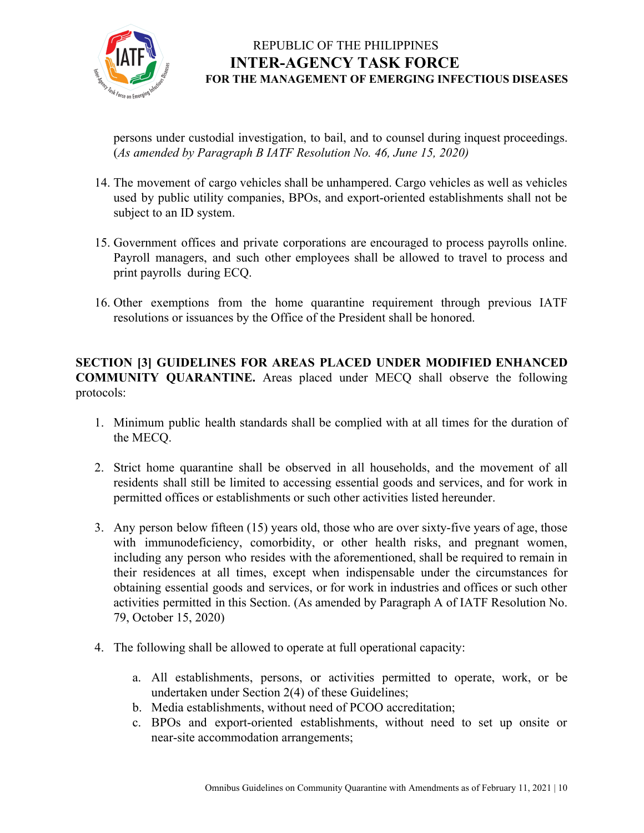

persons under custodial investigation, to bail, and to counsel during inquest proceedings. (*As amended by Paragraph B IATF Resolution No. 46, June 15, 2020)*

- 14. The movement of cargo vehicles shall be unhampered. Cargo vehicles as well as vehicles used by public utility companies, BPOs, and export-oriented establishments shall not be subject to an ID system.
- 15. Government offices and private corporations are encouraged to process payrolls online. Payroll managers, and such other employees shall be allowed to travel to process and print payrolls during ECQ.
- 16. Other exemptions from the home quarantine requirement through previous IATF resolutions or issuances by the Office of the President shall be honored.

#### **SECTION [3] GUIDELINES FOR AREAS PLACED UNDER MODIFIED ENHANCED COMMUNITY QUARANTINE.** Areas placed under MECQ shall observe the following protocols:

- 1. Minimum public health standards shall be complied with at all times for the duration of the MECQ.
- 2. Strict home quarantine shall be observed in all households, and the movement of all residents shall still be limited to accessing essential goods and services, and for work in permitted offices or establishments or such other activities listed hereunder.
- 3. Any person below fifteen (15) years old, those who are over sixty-five years of age, those with immunodeficiency, comorbidity, or other health risks, and pregnant women, including any person who resides with the aforementioned, shall be required to remain in their residences at all times, except when indispensable under the circumstances for obtaining essential goods and services, or for work in industries and offices or such other activities permitted in this Section. (As amended by Paragraph A of IATF Resolution No. 79, October 15, 2020)
- 4. The following shall be allowed to operate at full operational capacity:
	- a. All establishments, persons, or activities permitted to operate, work, or be undertaken under Section 2(4) of these Guidelines;
	- b. Media establishments, without need of PCOO accreditation;
	- c. BPOs and export-oriented establishments, without need to set up onsite or near-site accommodation arrangements;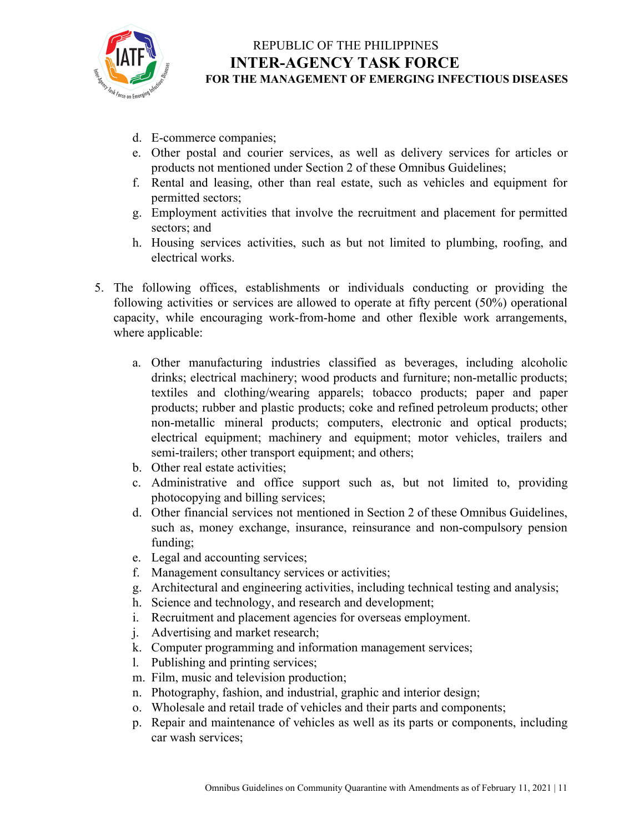

- d. E-commerce companies;
- e. Other postal and courier services, as well as delivery services for articles or products not mentioned under Section 2 of these Omnibus Guidelines;
- f. Rental and leasing, other than real estate, such as vehicles and equipment for permitted sectors;
- g. Employment activities that involve the recruitment and placement for permitted sectors; and
- h. Housing services activities, such as but not limited to plumbing, roofing, and electrical works.
- 5. The following offices, establishments or individuals conducting or providing the following activities or services are allowed to operate at fifty percent (50%) operational capacity, while encouraging work-from-home and other flexible work arrangements, where applicable:
	- a. Other manufacturing industries classified as beverages, including alcoholic drinks; electrical machinery; wood products and furniture; non-metallic products; textiles and clothing/wearing apparels; tobacco products; paper and paper products; rubber and plastic products; coke and refined petroleum products; other non-metallic mineral products; computers, electronic and optical products; electrical equipment; machinery and equipment; motor vehicles, trailers and semi-trailers; other transport equipment; and others;
	- b. Other real estate activities;
	- c. Administrative and office support such as, but not limited to, providing photocopying and billing services;
	- d. Other financial services not mentioned in Section 2 of these Omnibus Guidelines, such as, money exchange, insurance, reinsurance and non-compulsory pension funding;
	- e. Legal and accounting services;
	- f. Management consultancy services or activities;
	- g. Architectural and engineering activities, including technical testing and analysis;
	- h. Science and technology, and research and development;
	- i. Recruitment and placement agencies for overseas employment.
	- j. Advertising and market research;
	- k. Computer programming and information management services;
	- l. Publishing and printing services;
	- m. Film, music and television production;
	- n. Photography, fashion, and industrial, graphic and interior design;
	- o. Wholesale and retail trade of vehicles and their parts and components;
	- p. Repair and maintenance of vehicles as well as its parts or components, including car wash services;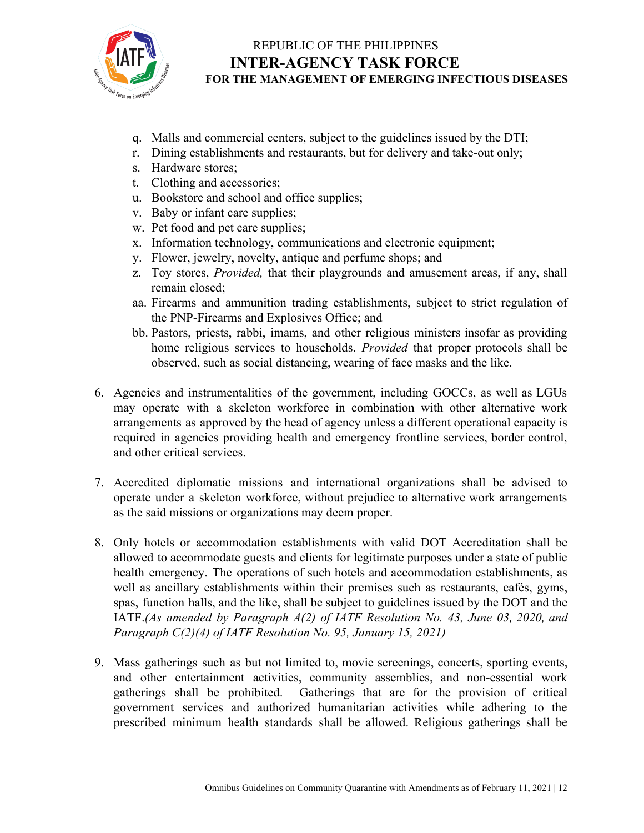

- q. Malls and commercial centers, subject to the guidelines issued by the DTI;
- r. Dining establishments and restaurants, but for delivery and take-out only;
- s. Hardware stores;
- t. Clothing and accessories;
- u. Bookstore and school and office supplies;
- v. Baby or infant care supplies;
- w. Pet food and pet care supplies;
- x. Information technology, communications and electronic equipment;
- y. Flower, jewelry, novelty, antique and perfume shops; and
- z. Toy stores, *Provided,* that their playgrounds and amusement areas, if any, shall remain closed;
- aa. Firearms and ammunition trading establishments, subject to strict regulation of the PNP-Firearms and Explosives Office; and
- bb. Pastors, priests, rabbi, imams, and other religious ministers insofar as providing home religious services to households. *Provided* that proper protocols shall be observed, such as social distancing, wearing of face masks and the like.
- 6. Agencies and instrumentalities of the government, including GOCCs, as well as LGUs may operate with a skeleton workforce in combination with other alternative work arrangements as approved by the head of agency unless a different operational capacity is required in agencies providing health and emergency frontline services, border control, and other critical services.
- 7. Accredited diplomatic missions and international organizations shall be advised to operate under a skeleton workforce, without prejudice to alternative work arrangements as the said missions or organizations may deem proper.
- 8. Only hotels or accommodation establishments with valid DOT Accreditation shall be allowed to accommodate guests and clients for legitimate purposes under a state of public health emergency. The operations of such hotels and accommodation establishments, as well as ancillary establishments within their premises such as restaurants, cafés, gyms, spas, function halls, and the like, shall be subject to guidelines issued by the DOT and the IATF.*(As amended by Paragraph A(2) of IATF Resolution No. 43, June 03, 2020, and Paragraph C(2)(4) of IATF Resolution No. 95, January 15, 2021)*
- 9. Mass gatherings such as but not limited to, movie screenings, concerts, sporting events, and other entertainment activities, community assemblies, and non-essential work gatherings shall be prohibited. Gatherings that are for the provision of critical government services and authorized humanitarian activities while adhering to the prescribed minimum health standards shall be allowed. Religious gatherings shall be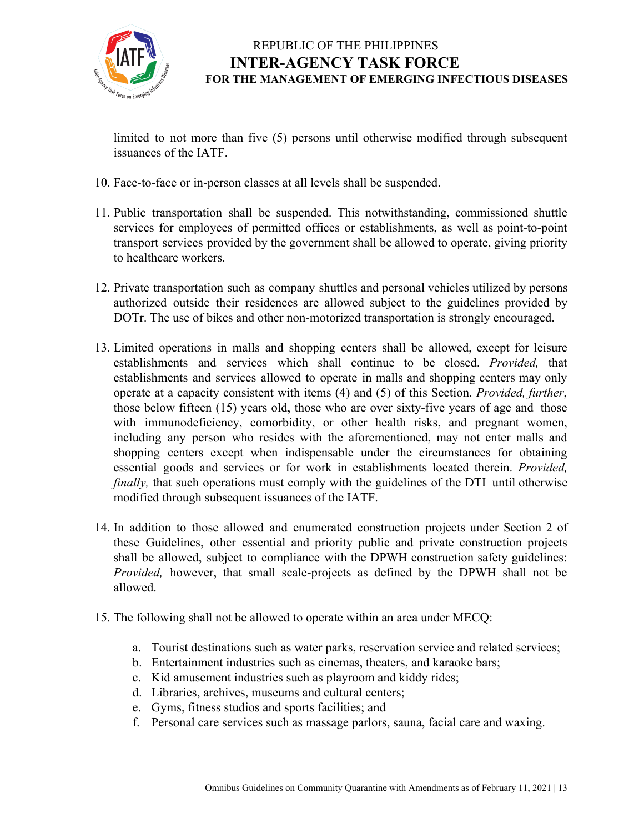

limited to not more than five (5) persons until otherwise modified through subsequent issuances of the IATF.

- 10. Face-to-face or in-person classes at all levels shall be suspended.
- 11. Public transportation shall be suspended. This notwithstanding, commissioned shuttle services for employees of permitted offices or establishments, as well as point-to-point transport services provided by the government shall be allowed to operate, giving priority to healthcare workers.
- 12. Private transportation such as company shuttles and personal vehicles utilized by persons authorized outside their residences are allowed subject to the guidelines provided by DOTr. The use of bikes and other non-motorized transportation is strongly encouraged.
- 13. Limited operations in malls and shopping centers shall be allowed, except for leisure establishments and services which shall continue to be closed. *Provided,* that establishments and services allowed to operate in malls and shopping centers may only operate at a capacity consistent with items (4) and (5) of this Section. *Provided, further*, those below fifteen (15) years old, those who are over sixty-five years of age and those with immunodeficiency, comorbidity, or other health risks, and pregnant women, including any person who resides with the aforementioned, may not enter malls and shopping centers except when indispensable under the circumstances for obtaining essential goods and services or for work in establishments located therein. *Provided, finally*, that such operations must comply with the guidelines of the DTI until otherwise modified through subsequent issuances of the IATF.
- 14. In addition to those allowed and enumerated construction projects under Section 2 of these Guidelines, other essential and priority public and private construction projects shall be allowed, subject to compliance with the DPWH construction safety guidelines: *Provided,* however, that small scale-projects as defined by the DPWH shall not be allowed.
- 15. The following shall not be allowed to operate within an area under MECQ:
	- a. Tourist destinations such as water parks, reservation service and related services;
	- b. Entertainment industries such as cinemas, theaters, and karaoke bars;
	- c. Kid amusement industries such as playroom and kiddy rides;
	- d. Libraries, archives, museums and cultural centers;
	- e. Gyms, fitness studios and sports facilities; and
	- f. Personal care services such as massage parlors, sauna, facial care and waxing.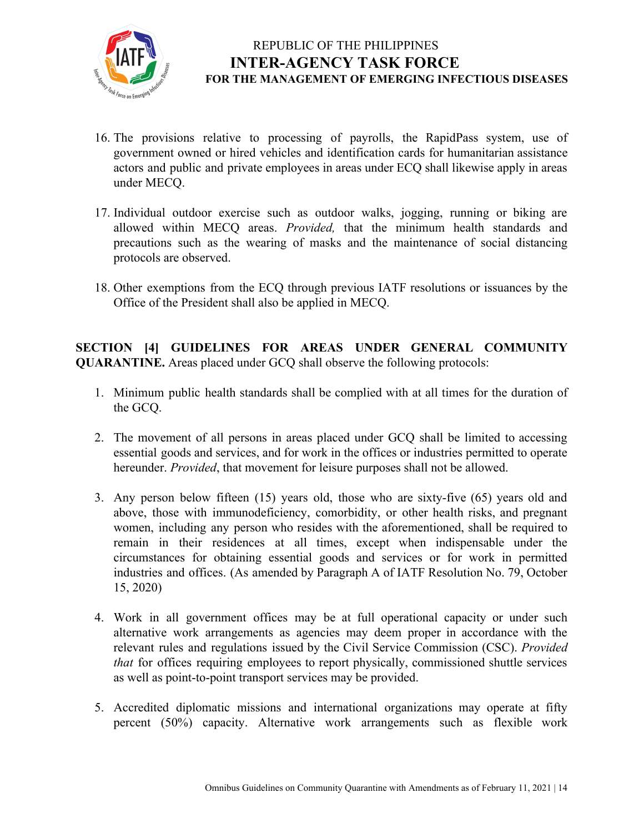

- 16. The provisions relative to processing of payrolls, the RapidPass system, use of government owned or hired vehicles and identification cards for humanitarian assistance actors and public and private employees in areas under ECQ shall likewise apply in areas under MECQ.
- 17. Individual outdoor exercise such as outdoor walks, jogging, running or biking are allowed within MECQ areas. *Provided,* that the minimum health standards and precautions such as the wearing of masks and the maintenance of social distancing protocols are observed.
- 18. Other exemptions from the ECQ through previous IATF resolutions or issuances by the Office of the President shall also be applied in MECQ.

**SECTION [4] GUIDELINES FOR AREAS UNDER GENERAL COMMUNITY QUARANTINE.** Areas placed under GCQ shall observe the following protocols:

- 1. Minimum public health standards shall be complied with at all times for the duration of the GCQ.
- 2. The movement of all persons in areas placed under GCQ shall be limited to accessing essential goods and services, and for work in the offices or industries permitted to operate hereunder. *Provided*, that movement for leisure purposes shall not be allowed.
- 3. Any person below fifteen (15) years old, those who are sixty-five (65) years old and above, those with immunodeficiency, comorbidity, or other health risks, and pregnant women, including any person who resides with the aforementioned, shall be required to remain in their residences at all times, except when indispensable under the circumstances for obtaining essential goods and services or for work in permitted industries and offices. (As amended by Paragraph A of IATF Resolution No. 79, October 15, 2020)
- 4. Work in all government offices may be at full operational capacity or under such alternative work arrangements as agencies may deem proper in accordance with the relevant rules and regulations issued by the Civil Service Commission (CSC). *Provided that* for offices requiring employees to report physically, commissioned shuttle services as well as point-to-point transport services may be provided.
- 5. Accredited diplomatic missions and international organizations may operate at fifty percent (50%) capacity. Alternative work arrangements such as flexible work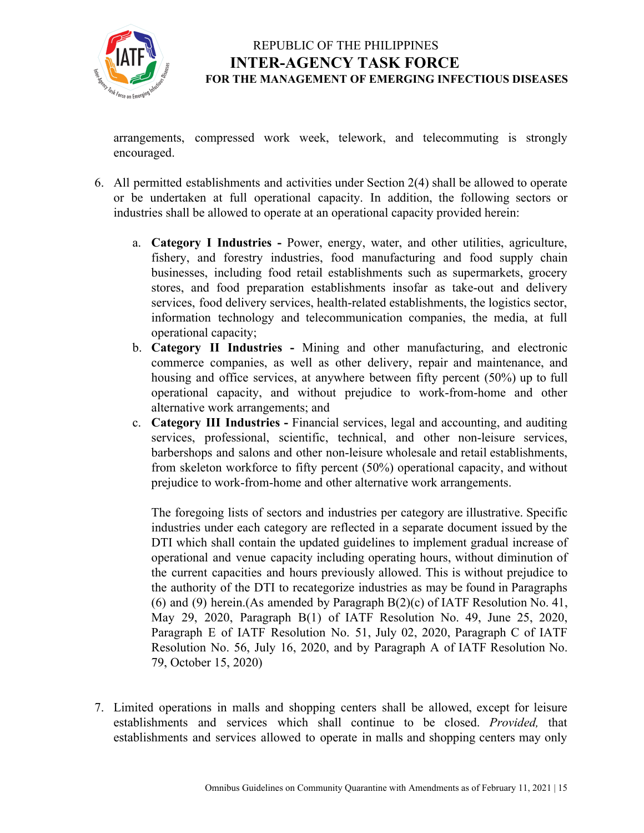

arrangements, compressed work week, telework, and telecommuting is strongly encouraged.

- 6. All permitted establishments and activities under Section 2(4) shall be allowed to operate or be undertaken at full operational capacity. In addition, the following sectors or industries shall be allowed to operate at an operational capacity provided herein:
	- a. **Category I Industries -** Power, energy, water, and other utilities, agriculture, fishery, and forestry industries, food manufacturing and food supply chain businesses, including food retail establishments such as supermarkets, grocery stores, and food preparation establishments insofar as take-out and delivery services, food delivery services, health-related establishments, the logistics sector, information technology and telecommunication companies, the media, at full operational capacity;
	- b. **Category II Industries -** Mining and other manufacturing, and electronic commerce companies, as well as other delivery, repair and maintenance, and housing and office services, at anywhere between fifty percent (50%) up to full operational capacity, and without prejudice to work-from-home and other alternative work arrangements; and
	- c. **Category III Industries -** Financial services, legal and accounting, and auditing services, professional, scientific, technical, and other non-leisure services, barbershops and salons and other non-leisure wholesale and retail establishments, from skeleton workforce to fifty percent (50%) operational capacity, and without prejudice to work-from-home and other alternative work arrangements.

The foregoing lists of sectors and industries per category are illustrative. Specific industries under each category are reflected in a separate document issued by the DTI which shall contain the updated guidelines to implement gradual increase of operational and venue capacity including operating hours, without diminution of the current capacities and hours previously allowed. This is without prejudice to the authority of the DTI to recategorize industries as may be found in Paragraphs (6) and (9) herein.(As amended by Paragraph  $B(2)(c)$  of IATF Resolution No. 41, May 29, 2020, Paragraph B(1) of IATF Resolution No. 49, June 25, 2020, Paragraph E of IATF Resolution No. 51, July 02, 2020, Paragraph C of IATF Resolution No. 56, July 16, 2020, and by Paragraph A of IATF Resolution No. 79, October 15, 2020)

7. Limited operations in malls and shopping centers shall be allowed, except for leisure establishments and services which shall continue to be closed. *Provided,* that establishments and services allowed to operate in malls and shopping centers may only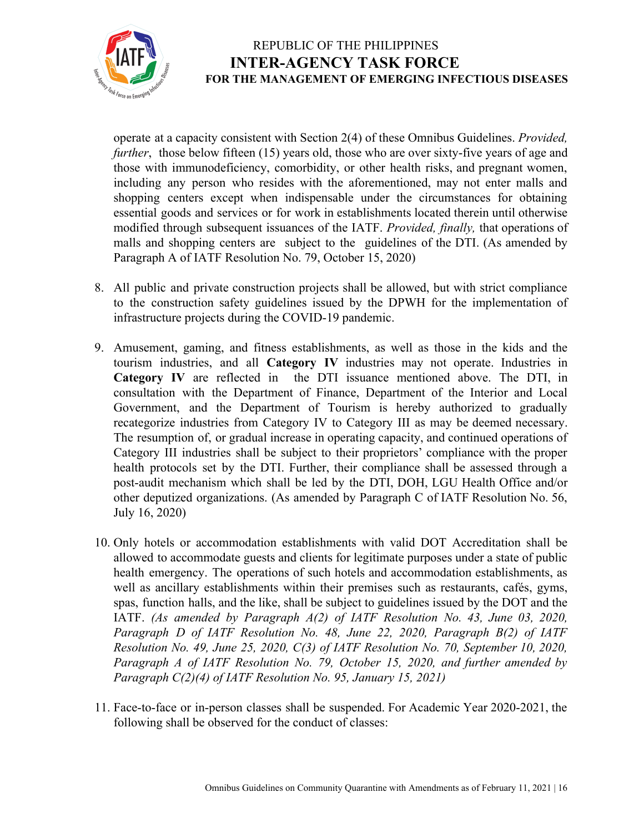

operate at a capacity consistent with Section 2(4) of these Omnibus Guidelines. *Provided, further*, those below fifteen (15) years old, those who are over sixty-five years of age and those with immunodeficiency, comorbidity, or other health risks, and pregnant women, including any person who resides with the aforementioned, may not enter malls and shopping centers except when indispensable under the circumstances for obtaining essential goods and services or for work in establishments located therein until otherwise modified through subsequent issuances of the IATF. *Provided, finally,* that operations of malls and shopping centers are subject to the guidelines of the DTI. (As amended by Paragraph A of IATF Resolution No. 79, October 15, 2020)

- 8. All public and private construction projects shall be allowed, but with strict compliance to the construction safety guidelines issued by the DPWH for the implementation of infrastructure projects during the COVID-19 pandemic.
- 9. Amusement, gaming, and fitness establishments, as well as those in the kids and the tourism industries, and all **Category IV** industries may not operate. Industries in **Category IV** are reflected in the DTI issuance mentioned above. The DTI, in consultation with the Department of Finance, Department of the Interior and Local Government, and the Department of Tourism is hereby authorized to gradually recategorize industries from Category IV to Category III as may be deemed necessary. The resumption of, or gradual increase in operating capacity, and continued operations of Category III industries shall be subject to their proprietors' compliance with the proper health protocols set by the DTI. Further, their compliance shall be assessed through a post-audit mechanism which shall be led by the DTI, DOH, LGU Health Office and/or other deputized organizations. (As amended by Paragraph C of IATF Resolution No. 56, July 16, 2020)
- 10. Only hotels or accommodation establishments with valid DOT Accreditation shall be allowed to accommodate guests and clients for legitimate purposes under a state of public health emergency. The operations of such hotels and accommodation establishments, as well as ancillary establishments within their premises such as restaurants, cafés, gyms, spas, function halls, and the like, shall be subject to guidelines issued by the DOT and the IATF. *(As amended by Paragraph A(2) of IATF Resolution No. 43, June 03, 2020, Paragraph D of IATF Resolution No. 48, June 22, 2020, Paragraph B(2) of IATF Resolution No. 49, June 25, 2020, C(3) of IATF Resolution No. 70, September 10, 2020, Paragraph A of IATF Resolution No. 79, October 15, 2020, and further amended by Paragraph C(2)(4) of IATF Resolution No. 95, January 15, 2021)*
- 11. Face-to-face or in-person classes shall be suspended. For Academic Year 2020-2021, the following shall be observed for the conduct of classes: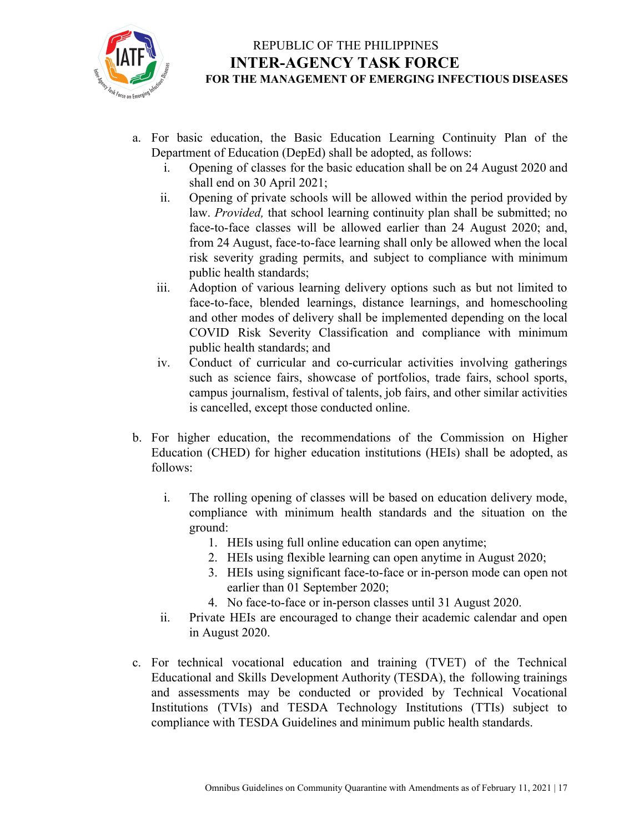

- a. For basic education, the Basic Education Learning Continuity Plan of the Department of Education (DepEd) shall be adopted, as follows:
	- i. Opening of classes for the basic education shall be on 24 August 2020 and shall end on 30 April 2021;
	- ii. Opening of private schools will be allowed within the period provided by law. *Provided,* that school learning continuity plan shall be submitted; no face-to-face classes will be allowed earlier than 24 August 2020; and, from 24 August, face-to-face learning shall only be allowed when the local risk severity grading permits, and subject to compliance with minimum public health standards;
	- iii. Adoption of various learning delivery options such as but not limited to face-to-face, blended learnings, distance learnings, and homeschooling and other modes of delivery shall be implemented depending on the local COVID Risk Severity Classification and compliance with minimum public health standards; and
	- iv. Conduct of curricular and co-curricular activities involving gatherings such as science fairs, showcase of portfolios, trade fairs, school sports, campus journalism, festival of talents, job fairs, and other similar activities is cancelled, except those conducted online.
- b. For higher education, the recommendations of the Commission on Higher Education (CHED) for higher education institutions (HEIs) shall be adopted, as follows:
	- i. The rolling opening of classes will be based on education delivery mode, compliance with minimum health standards and the situation on the ground:
		- 1. HEIs using full online education can open anytime;
		- 2. HEIs using flexible learning can open anytime in August 2020;
		- 3. HEIs using significant face-to-face or in-person mode can open not earlier than 01 September 2020;
		- 4. No face-to-face or in-person classes until 31 August 2020.
	- ii. Private HEIs are encouraged to change their academic calendar and open in August 2020.
- c. For technical vocational education and training (TVET) of the Technical Educational and Skills Development Authority (TESDA), the following trainings and assessments may be conducted or provided by Technical Vocational Institutions (TVIs) and TESDA Technology Institutions (TTIs) subject to compliance with TESDA Guidelines and minimum public health standards.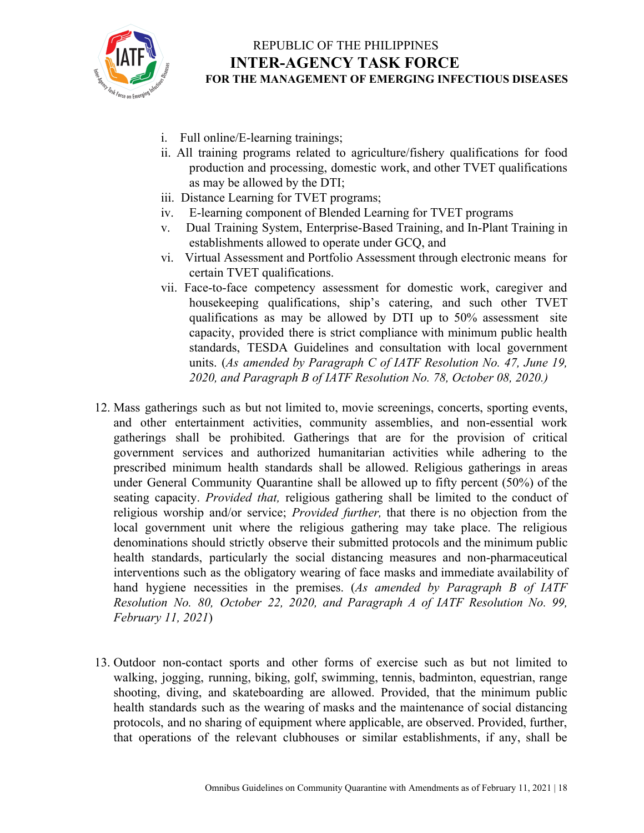

- i. Full online/E-learning trainings;
- ii. All training programs related to agriculture/fishery qualifications for food production and processing, domestic work, and other TVET qualifications as may be allowed by the DTI;
- iii. Distance Learning for TVET programs;
- iv. E-learning component of Blended Learning for TVET programs
- v. Dual Training System, Enterprise-Based Training, and In-Plant Training in establishments allowed to operate under GCQ, and
- vi. Virtual Assessment and Portfolio Assessment through electronic means for certain TVET qualifications.
- vii. Face-to-face competency assessment for domestic work, caregiver and housekeeping qualifications, ship's catering, and such other TVET qualifications as may be allowed by DTI up to 50% assessment site capacity, provided there is strict compliance with minimum public health standards, TESDA Guidelines and consultation with local government units. (*As amended by Paragraph C of IATF Resolution No. 47, June 19, 2020, and Paragraph B of IATF Resolution No. 78, October 08, 2020.)*
- 12. Mass gatherings such as but not limited to, movie screenings, concerts, sporting events, and other entertainment activities, community assemblies, and non-essential work gatherings shall be prohibited. Gatherings that are for the provision of critical government services and authorized humanitarian activities while adhering to the prescribed minimum health standards shall be allowed. Religious gatherings in areas under General Community Quarantine shall be allowed up to fifty percent (50%) of the seating capacity. *Provided that,* religious gathering shall be limited to the conduct of religious worship and/or service; *Provided further,* that there is no objection from the local government unit where the religious gathering may take place. The religious denominations should strictly observe their submitted protocols and the minimum public health standards, particularly the social distancing measures and non-pharmaceutical interventions such as the obligatory wearing of face masks and immediate availability of hand hygiene necessities in the premises. (*As amended by Paragraph B of IATF Resolution No. 80, October 22, 2020, and Paragraph A of IATF Resolution No. 99, February 11, 2021*)
- 13. Outdoor non-contact sports and other forms of exercise such as but not limited to walking, jogging, running, biking, golf, swimming, tennis, badminton, equestrian, range shooting, diving, and skateboarding are allowed. Provided, that the minimum public health standards such as the wearing of masks and the maintenance of social distancing protocols, and no sharing of equipment where applicable, are observed. Provided, further, that operations of the relevant clubhouses or similar establishments, if any, shall be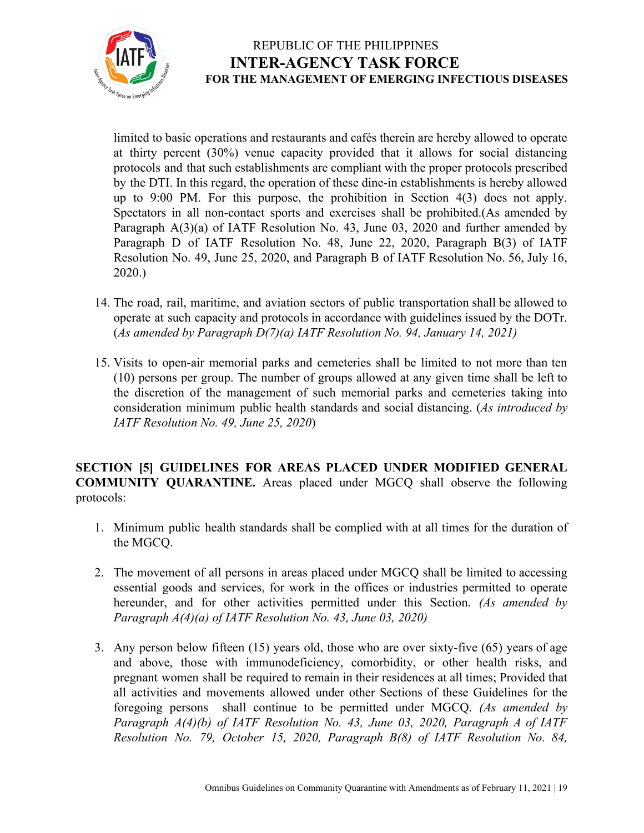

limited to basic operations and restaurants and cafés therein are hereby allowed to operate at thirty percent (30%) venue capacity provided that it allows for social distancing protocols and that such establishments are compliant with the proper protocols prescribed by the DTI. In this regard, the operation of these dine-in establishments is hereby allowed up to 9:00 PM. For this purpose, the prohibition in Section 4(3) does not apply. Spectators in all non-contact sports and exercises shall be prohibited.(As amended by Paragraph A(3)(a) of IATF Resolution No. 43, June 03, 2020 and further amended by Paragraph D of IATF Resolution No. 48, June 22, 2020, Paragraph B(3) of IATF Resolution No. 49, June 25, 2020, and Paragraph B of IATF Resolution No. 56, July 16, 2020.)

- 14. The road, rail, maritime, and aviation sectors of public transportation shall be allowed to operate at such capacity and protocols in accordance with guidelines issued by the DOTr. (*As amended by Paragraph D(7)(a) IATF Resolution No. 94, January 14, 2021)*
- 15. Visits to open-air memorial parks and cemeteries shall be limited to not more than ten (10) persons per group. The number of groups allowed at any given time shall be left to the discretion of the management of such memorial parks and cemeteries taking into consideration minimum public health standards and social distancing. (*As introduced by IATF Resolution No. 49, June 25, 2020*)

**SECTION [5] GUIDELINES FOR AREAS PLACED UNDER MODIFIED GENERAL COMMUNITY QUARANTINE.** Areas placed under MGCQ shall observe the following protocols:

- 1. Minimum public health standards shall be complied with at all times for the duration of the MGCQ.
- 2. The movement of all persons in areas placed under MGCQ shall be limited to accessing essential goods and services, for work in the offices or industries permitted to operate hereunder, and for other activities permitted under this Section. *(As amended by Paragraph A(4)(a) of IATF Resolution No. 43, June 03, 2020)*
- 3. Any person below fifteen (15) years old, those who are over sixty-five (65) years of age and above, those with immunodeficiency, comorbidity, or other health risks, and pregnant women shall be required to remain in their residences at all times; Provided that all activities and movements allowed under other Sections of these Guidelines for the foregoing persons shall continue to be permitted under MGCQ. *(As amended by Paragraph A(4)(b) of IATF Resolution No. 43, June 03, 2020, Paragraph A of IATF Resolution No. 79, October 15, 2020, Paragraph B(8) of IATF Resolution No. 84,*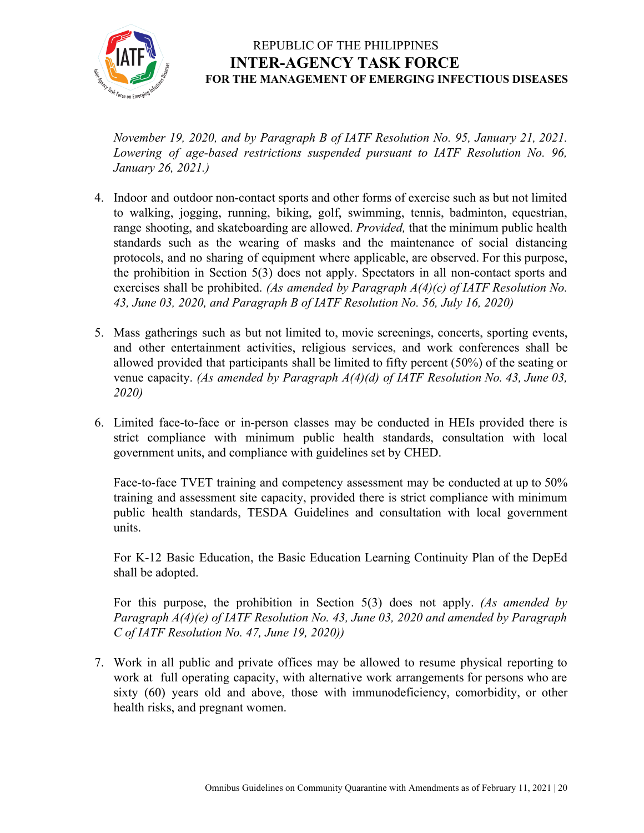

*November 19, 2020, and by Paragraph B of IATF Resolution No. 95, January 21, 2021. Lowering of age-based restrictions suspended pursuant to IATF Resolution No. 96, January 26, 2021.)*

- 4. Indoor and outdoor non-contact sports and other forms of exercise such as but not limited to walking, jogging, running, biking, golf, swimming, tennis, badminton, equestrian, range shooting, and skateboarding are allowed. *Provided,* that the minimum public health standards such as the wearing of masks and the maintenance of social distancing protocols, and no sharing of equipment where applicable, are observed. For this purpose, the prohibition in Section 5(3) does not apply. Spectators in all non-contact sports and exercises shall be prohibited. *(As amended by Paragraph A(4)(c) of IATF Resolution No. 43, June 03, 2020, and Paragraph B of IATF Resolution No. 56, July 16, 2020)*
- 5. Mass gatherings such as but not limited to, movie screenings, concerts, sporting events, and other entertainment activities, religious services, and work conferences shall be allowed provided that participants shall be limited to fifty percent (50%) of the seating or venue capacity. *(As amended by Paragraph A(4)(d) of IATF Resolution No. 43, June 03, 2020)*
- 6. Limited face-to-face or in-person classes may be conducted in HEIs provided there is strict compliance with minimum public health standards, consultation with local government units, and compliance with guidelines set by CHED.

Face-to-face TVET training and competency assessment may be conducted at up to 50% training and assessment site capacity, provided there is strict compliance with minimum public health standards, TESDA Guidelines and consultation with local government units.

For K-12 Basic Education, the Basic Education Learning Continuity Plan of the DepEd shall be adopted.

For this purpose, the prohibition in Section 5(3) does not apply. *(As amended by Paragraph A(4)(e) of IATF Resolution No. 43, June 03, 2020 and amended by Paragraph C of IATF Resolution No. 47, June 19, 2020))*

7. Work in all public and private offices may be allowed to resume physical reporting to work at full operating capacity, with alternative work arrangements for persons who are sixty (60) years old and above, those with immunodeficiency, comorbidity, or other health risks, and pregnant women.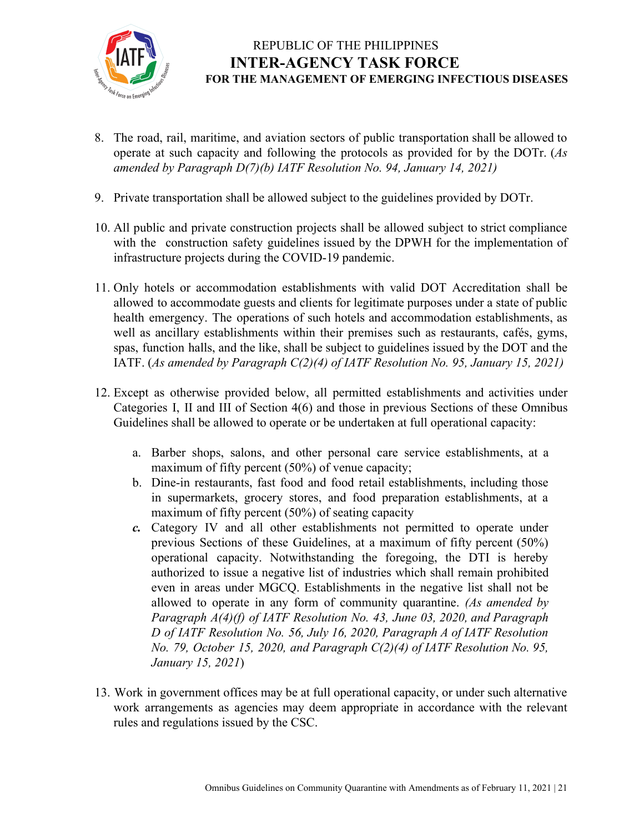

- 8. The road, rail, maritime, and aviation sectors of public transportation shall be allowed to operate at such capacity and following the protocols as provided for by the DOTr. (*As amended by Paragraph D(7)(b) IATF Resolution No. 94, January 14, 2021)*
- 9. Private transportation shall be allowed subject to the guidelines provided by DOTr.
- 10. All public and private construction projects shall be allowed subject to strict compliance with the construction safety guidelines issued by the DPWH for the implementation of infrastructure projects during the COVID-19 pandemic.
- 11. Only hotels or accommodation establishments with valid DOT Accreditation shall be allowed to accommodate guests and clients for legitimate purposes under a state of public health emergency. The operations of such hotels and accommodation establishments, as well as ancillary establishments within their premises such as restaurants, cafés, gyms, spas, function halls, and the like, shall be subject to guidelines issued by the DOT and the IATF. (*As amended by Paragraph C(2)(4) of IATF Resolution No. 95, January 15, 2021)*
- 12. Except as otherwise provided below, all permitted establishments and activities under Categories I, II and III of Section 4(6) and those in previous Sections of these Omnibus Guidelines shall be allowed to operate or be undertaken at full operational capacity:
	- a. Barber shops, salons, and other personal care service establishments, at a maximum of fifty percent (50%) of venue capacity;
	- b. Dine-in restaurants, fast food and food retail establishments, including those in supermarkets, grocery stores, and food preparation establishments, at a maximum of fifty percent (50%) of seating capacity
	- *c.* Category IV and all other establishments not permitted to operate under previous Sections of these Guidelines, at a maximum of fifty percent (50%) operational capacity. Notwithstanding the foregoing, the DTI is hereby authorized to issue a negative list of industries which shall remain prohibited even in areas under MGCQ. Establishments in the negative list shall not be allowed to operate in any form of community quarantine. *(As amended by Paragraph A(4)(f) of IATF Resolution No. 43, June 03, 2020, and Paragraph D of IATF Resolution No. 56, July 16, 2020, Paragraph A of IATF Resolution No. 79, October 15, 2020, and Paragraph C(2)(4) of IATF Resolution No. 95, January 15, 2021*)
- 13. Work in government offices may be at full operational capacity, or under such alternative work arrangements as agencies may deem appropriate in accordance with the relevant rules and regulations issued by the CSC.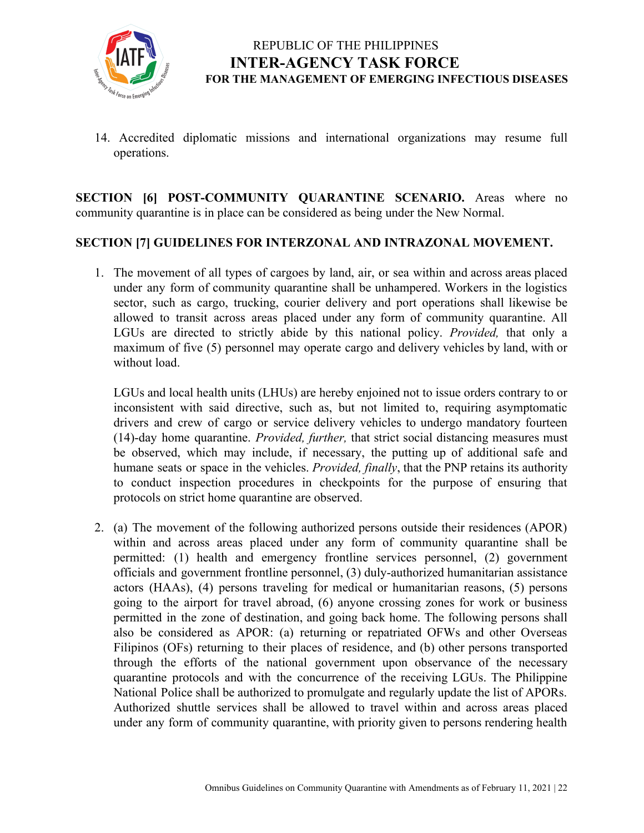

14. Accredited diplomatic missions and international organizations may resume full operations.

**SECTION [6] POST-COMMUNITY QUARANTINE SCENARIO.** Areas where no community quarantine is in place can be considered as being under the New Normal.

#### **SECTION [7] GUIDELINES FOR INTERZONAL AND INTRAZONAL MOVEMENT.**

1. The movement of all types of cargoes by land, air, or sea within and across areas placed under any form of community quarantine shall be unhampered. Workers in the logistics sector, such as cargo, trucking, courier delivery and port operations shall likewise be allowed to transit across areas placed under any form of community quarantine. All LGUs are directed to strictly abide by this national policy. *Provided,* that only a maximum of five (5) personnel may operate cargo and delivery vehicles by land, with or without load.

LGUs and local health units (LHUs) are hereby enjoined not to issue orders contrary to or inconsistent with said directive, such as, but not limited to, requiring asymptomatic drivers and crew of cargo or service delivery vehicles to undergo mandatory fourteen (14)-day home quarantine. *Provided, further,* that strict social distancing measures must be observed, which may include, if necessary, the putting up of additional safe and humane seats or space in the vehicles. *Provided, finally*, that the PNP retains its authority to conduct inspection procedures in checkpoints for the purpose of ensuring that protocols on strict home quarantine are observed.

2. (a) The movement of the following authorized persons outside their residences (APOR) within and across areas placed under any form of community quarantine shall be permitted: (1) health and emergency frontline services personnel, (2) government officials and government frontline personnel, (3) duly-authorized humanitarian assistance actors (HAAs), (4) persons traveling for medical or humanitarian reasons, (5) persons going to the airport for travel abroad, (6) anyone crossing zones for work or business permitted in the zone of destination, and going back home. The following persons shall also be considered as APOR: (a) returning or repatriated OFWs and other Overseas Filipinos (OFs) returning to their places of residence, and (b) other persons transported through the efforts of the national government upon observance of the necessary quarantine protocols and with the concurrence of the receiving LGUs. The Philippine National Police shall be authorized to promulgate and regularly update the list of APORs. Authorized shuttle services shall be allowed to travel within and across areas placed under any form of community quarantine, with priority given to persons rendering health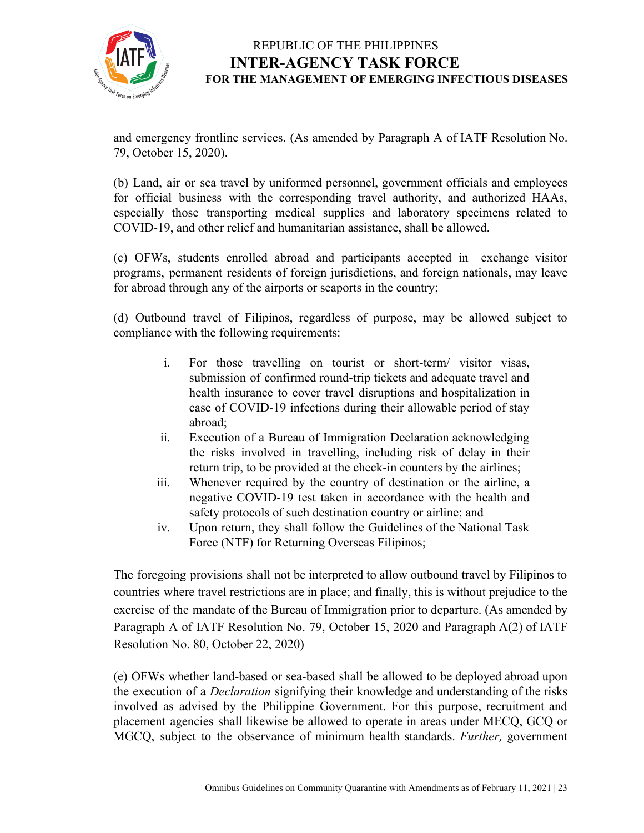

and emergency frontline services. (As amended by Paragraph A of IATF Resolution No. 79, October 15, 2020).

(b) Land, air or sea travel by uniformed personnel, government officials and employees for official business with the corresponding travel authority, and authorized HAAs, especially those transporting medical supplies and laboratory specimens related to COVID-19, and other relief and humanitarian assistance, shall be allowed.

(c) OFWs, students enrolled abroad and participants accepted in exchange visitor programs, permanent residents of foreign jurisdictions, and foreign nationals, may leave for abroad through any of the airports or seaports in the country;

(d) Outbound travel of Filipinos, regardless of purpose, may be allowed subject to compliance with the following requirements:

- i. For those travelling on tourist or short-term/ visitor visas, submission of confirmed round-trip tickets and adequate travel and health insurance to cover travel disruptions and hospitalization in case of COVID-19 infections during their allowable period of stay abroad;
- ii. Execution of a Bureau of Immigration Declaration acknowledging the risks involved in travelling, including risk of delay in their return trip, to be provided at the check-in counters by the airlines;
- iii. Whenever required by the country of destination or the airline, a negative COVID-19 test taken in accordance with the health and safety protocols of such destination country or airline; and
- iv. Upon return, they shall follow the Guidelines of the National Task Force (NTF) for Returning Overseas Filipinos;

The foregoing provisions shall not be interpreted to allow outbound travel by Filipinos to countries where travel restrictions are in place; and finally, this is without prejudice to the exercise of the mandate of the Bureau of Immigration prior to departure. (As amended by Paragraph A of IATF Resolution No. 79, October 15, 2020 and Paragraph A(2) of IATF Resolution No. 80, October 22, 2020)

(e) OFWs whether land-based or sea-based shall be allowed to be deployed abroad upon the execution of a *Declaration* signifying their knowledge and understanding of the risks involved as advised by the Philippine Government. For this purpose, recruitment and placement agencies shall likewise be allowed to operate in areas under MECQ, GCQ or MGCQ, subject to the observance of minimum health standards. *Further,* government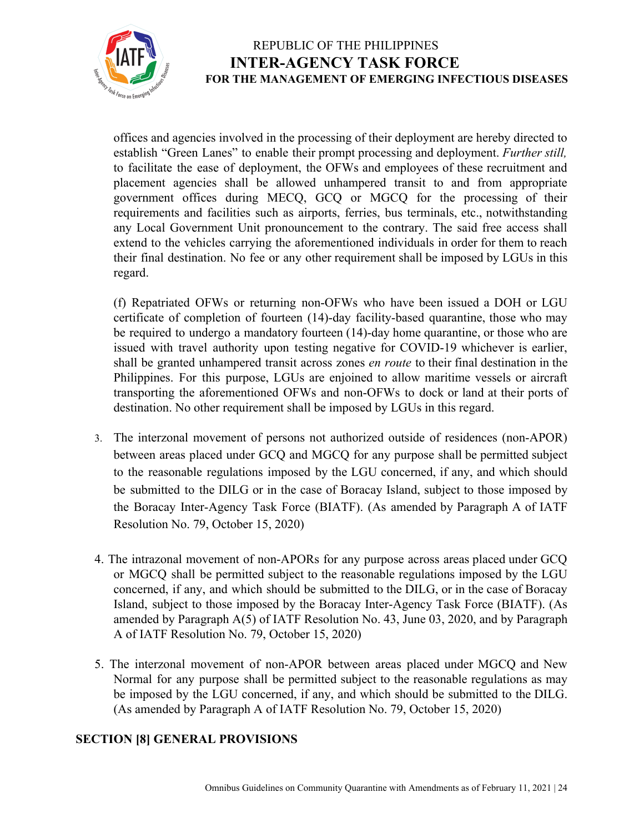

offices and agencies involved in the processing of their deployment are hereby directed to establish "Green Lanes" to enable their prompt processing and deployment. *Further still,* to facilitate the ease of deployment, the OFWs and employees of these recruitment and placement agencies shall be allowed unhampered transit to and from appropriate government offices during MECQ, GCQ or MGCQ for the processing of their requirements and facilities such as airports, ferries, bus terminals, etc., notwithstanding any Local Government Unit pronouncement to the contrary. The said free access shall extend to the vehicles carrying the aforementioned individuals in order for them to reach their final destination. No fee or any other requirement shall be imposed by LGUs in this regard.

(f) Repatriated OFWs or returning non-OFWs who have been issued a DOH or LGU certificate of completion of fourteen (14)-day facility-based quarantine, those who may be required to undergo a mandatory fourteen (14)-day home quarantine, or those who are issued with travel authority upon testing negative for COVID-19 whichever is earlier, shall be granted unhampered transit across zones *en route* to their final destination in the Philippines. For this purpose, LGUs are enjoined to allow maritime vessels or aircraft transporting the aforementioned OFWs and non-OFWs to dock or land at their ports of destination. No other requirement shall be imposed by LGUs in this regard.

- 3. The interzonal movement of persons not authorized outside of residences (non-APOR) between areas placed under GCQ and MGCQ for any purpose shall be permitted subject to the reasonable regulations imposed by the LGU concerned, if any, and which should be submitted to the DILG or in the case of Boracay Island, subject to those imposed by the Boracay Inter-Agency Task Force (BIATF). (As amended by Paragraph A of IATF Resolution No. 79, October 15, 2020)
- 4. The intrazonal movement of non-APORs for any purpose across areas placed under GCQ or MGCQ shall be permitted subject to the reasonable regulations imposed by the LGU concerned, if any, and which should be submitted to the DILG, or in the case of Boracay Island, subject to those imposed by the Boracay Inter-Agency Task Force (BIATF). (As amended by Paragraph A(5) of IATF Resolution No. 43, June 03, 2020, and by Paragraph A of IATF Resolution No. 79, October 15, 2020)
- 5. The interzonal movement of non-APOR between areas placed under MGCQ and New Normal for any purpose shall be permitted subject to the reasonable regulations as may be imposed by the LGU concerned, if any, and which should be submitted to the DILG. (As amended by Paragraph A of IATF Resolution No. 79, October 15, 2020)

#### **SECTION [8] GENERAL PROVISIONS**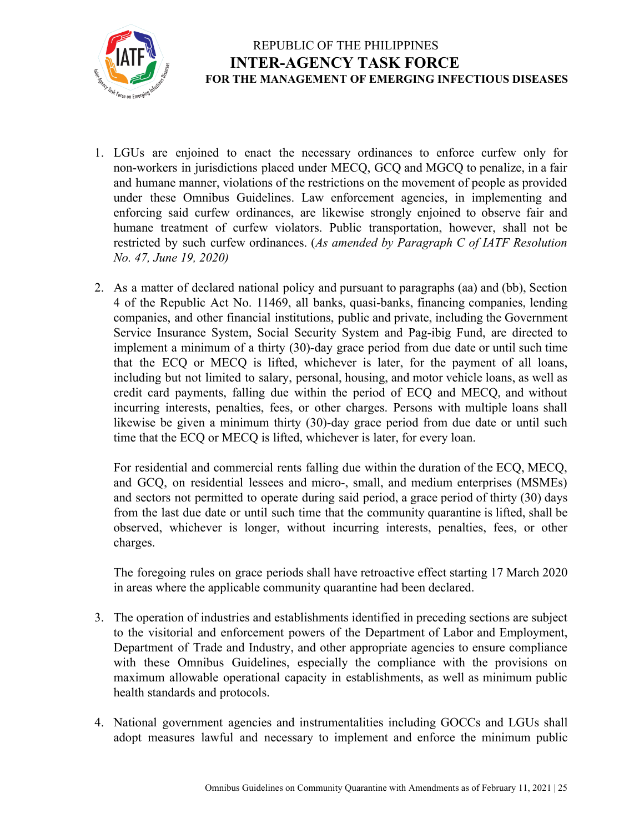

- 1. LGUs are enjoined to enact the necessary ordinances to enforce curfew only for non-workers in jurisdictions placed under MECQ, GCQ and MGCQ to penalize, in a fair and humane manner, violations of the restrictions on the movement of people as provided under these Omnibus Guidelines. Law enforcement agencies, in implementing and enforcing said curfew ordinances, are likewise strongly enjoined to observe fair and humane treatment of curfew violators. Public transportation, however, shall not be restricted by such curfew ordinances. (*As amended by Paragraph C of IATF Resolution No. 47, June 19, 2020)*
- 2. As a matter of declared national policy and pursuant to paragraphs (aa) and (bb), Section 4 of the Republic Act No. 11469, all banks, quasi-banks, financing companies, lending companies, and other financial institutions, public and private, including the Government Service Insurance System, Social Security System and Pag-ibig Fund, are directed to implement a minimum of a thirty (30)-day grace period from due date or until such time that the ECQ or MECQ is lifted, whichever is later, for the payment of all loans, including but not limited to salary, personal, housing, and motor vehicle loans, as well as credit card payments, falling due within the period of ECQ and MECQ, and without incurring interests, penalties, fees, or other charges. Persons with multiple loans shall likewise be given a minimum thirty (30)-day grace period from due date or until such time that the ECQ or MECQ is lifted, whichever is later, for every loan.

For residential and commercial rents falling due within the duration of the ECQ, MECQ, and GCQ, on residential lessees and micro-, small, and medium enterprises (MSMEs) and sectors not permitted to operate during said period, a grace period of thirty (30) days from the last due date or until such time that the community quarantine is lifted, shall be observed, whichever is longer, without incurring interests, penalties, fees, or other charges.

The foregoing rules on grace periods shall have retroactive effect starting 17 March 2020 in areas where the applicable community quarantine had been declared.

- 3. The operation of industries and establishments identified in preceding sections are subject to the visitorial and enforcement powers of the Department of Labor and Employment, Department of Trade and Industry, and other appropriate agencies to ensure compliance with these Omnibus Guidelines, especially the compliance with the provisions on maximum allowable operational capacity in establishments, as well as minimum public health standards and protocols.
- 4. National government agencies and instrumentalities including GOCCs and LGUs shall adopt measures lawful and necessary to implement and enforce the minimum public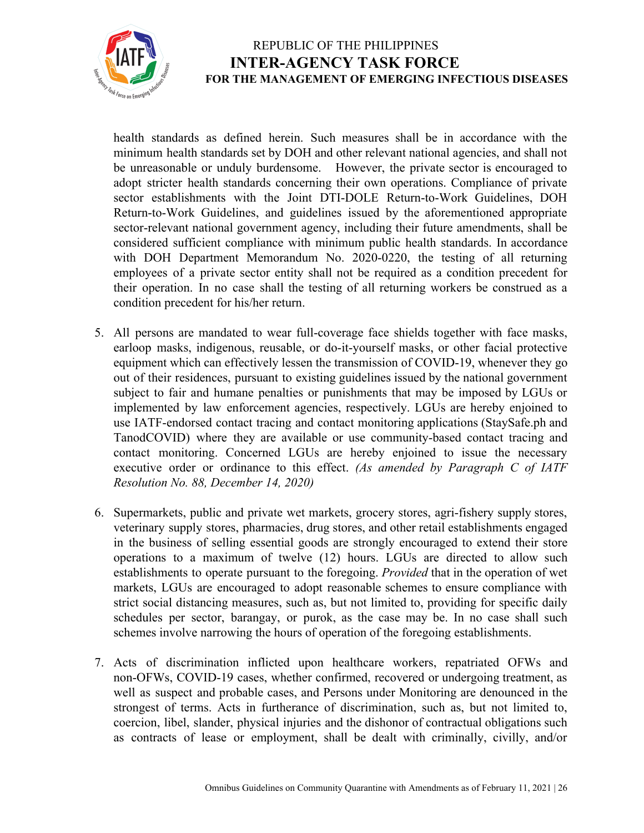

health standards as defined herein. Such measures shall be in accordance with the minimum health standards set by DOH and other relevant national agencies, and shall not be unreasonable or unduly burdensome. However, the private sector is encouraged to adopt stricter health standards concerning their own operations. Compliance of private sector establishments with the Joint DTI-DOLE Return-to-Work Guidelines, DOH Return-to-Work Guidelines, and guidelines issued by the aforementioned appropriate sector-relevant national government agency, including their future amendments, shall be considered sufficient compliance with minimum public health standards. In accordance with DOH Department Memorandum No. 2020-0220, the testing of all returning employees of a private sector entity shall not be required as a condition precedent for their operation. In no case shall the testing of all returning workers be construed as a condition precedent for his/her return.

- 5. All persons are mandated to wear full-coverage face shields together with face masks, earloop masks, indigenous, reusable, or do-it-yourself masks, or other facial protective equipment which can effectively lessen the transmission of COVID-19, whenever they go out of their residences, pursuant to existing guidelines issued by the national government subject to fair and humane penalties or punishments that may be imposed by LGUs or implemented by law enforcement agencies, respectively. LGUs are hereby enjoined to use IATF-endorsed contact tracing and contact monitoring applications (StaySafe.ph and TanodCOVID) where they are available or use community-based contact tracing and contact monitoring. Concerned LGUs are hereby enjoined to issue the necessary executive order or ordinance to this effect. *(As amended by Paragraph C of IATF Resolution No. 88, December 14, 2020)*
- 6. Supermarkets, public and private wet markets, grocery stores, agri-fishery supply stores, veterinary supply stores, pharmacies, drug stores, and other retail establishments engaged in the business of selling essential goods are strongly encouraged to extend their store operations to a maximum of twelve (12) hours. LGUs are directed to allow such establishments to operate pursuant to the foregoing. *Provided* that in the operation of wet markets, LGUs are encouraged to adopt reasonable schemes to ensure compliance with strict social distancing measures, such as, but not limited to, providing for specific daily schedules per sector, barangay, or purok, as the case may be. In no case shall such schemes involve narrowing the hours of operation of the foregoing establishments.
- 7. Acts of discrimination inflicted upon healthcare workers, repatriated OFWs and non-OFWs, COVID-19 cases, whether confirmed, recovered or undergoing treatment, as well as suspect and probable cases, and Persons under Monitoring are denounced in the strongest of terms. Acts in furtherance of discrimination, such as, but not limited to, coercion, libel, slander, physical injuries and the dishonor of contractual obligations such as contracts of lease or employment, shall be dealt with criminally, civilly, and/or